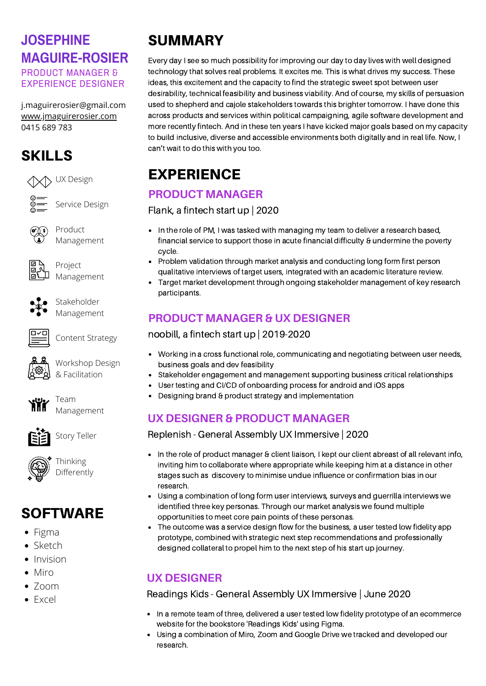## **JOSEPHINE MAGUIRE-ROSIER** PRODUCT MANAGER &

EXPERIENCE DESIGNER

j.maguirerosier@gmail.com [www.jmaguirerosier.com](http://www.jmaguirerosier.com/) 0415 689 783

# SKILLS





Service Design



Product Management



Project Management



Stakeholder Management



Content Strategy

Workshop Design



& Facilitation

Team Management



Story Teller



# SOFTWARE

- Figma
- Sketch
- Invision
- Miro
- $\bullet$  700m
- Excel

# SUMMARY

Every day I see so much possibility for improving our day to day lives with well designed technology that solves real problems. It excites me. This is what drives my success. These ideas, this excitement and the capacity to find the strategic sweet spot between user desirability, technical feasibility and business viability. And of course, my skills of persuasion used to shepherd and cajole stakeholders towards this brighter tomorrow. I have done this across products and services within political campaigning, agile software development and more recently fintech. And in these ten years I have kicked major goals based on my capacity to build inclusive, diverse and accessible environments both digitally and in real life. Now, I can't wait to do this with you too.

# EXPERIENCE

### **PRODUCT MANAGER**

Flank, a fintech start up | 2020

- In the role of PM, I was tasked with managing my team to deliver a research based, financial service to support those in acute financial difficulty & undermine the poverty cycle.
- Problem validation through market analysis and conducting long form first person qualitative interviews of target users, integrated with an academic literature review.
- Target market development through ongoing stakeholder management of key research participants.

## **PRODUCT MANAGER & UX DESIGNER**

noobill, a fintech start up | 2019-2020

- Working in a cross functional role, communicating and negotiating between user needs, business goals and dev feasibility
- Stakeholder engagement and management supporting business critical relationships
- User testing and CI/CD of onboarding process for android and iOS apps
- Designing brand & product strategy and implementation

### **UX DESIGNER & PRODUCT MANAGER**

Replenish - General Assembly UX Immersive | 2020

- In the role of product manager & client liaison, I kept our client abreast of all relevant info, inviting him to collaborate where appropriate while keeping him at a distance in other stages such as discovery to minimise undue influence or confirmation bias in our research.
- Using a combination of long form user interviews, surveys and guerrilla interviews we identified three key personas. Through our market analysis we found multiple opportunities to meet core pain points of these personas.
- The outcome was a service design flow for the business, a user tested low fidelity app prototype, combined with strategic next step recommendations and professionally designed collateral to propel him to the next step of his start up journey.

## **UX DESIGNER**

#### Readings Kids - General Assembly UX Immersive | June 2020

- In a remote team of three, delivered a user tested low fidelity prototype of an ecommerce website for the bookstore 'Readings Kids' using Figma.
- Using a combination of Miro, Zoom and Google Drive we tracked and developed our research.

Thinking Differently